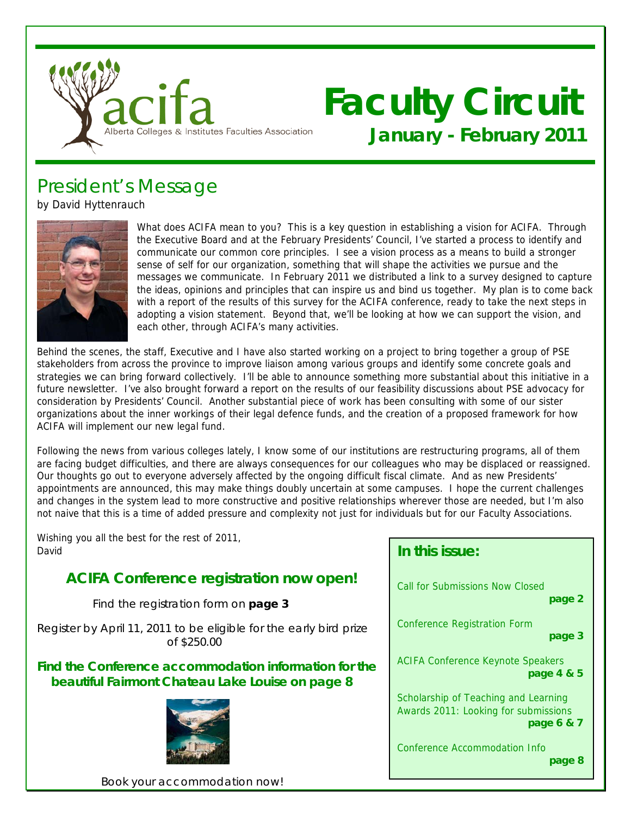

# **Faculty Circuit January - February 2011**

President's Message

by David Hyttenrauch



What does ACIFA mean to you? This is a key question in establishing a vision for ACIFA. Through the Executive Board and at the February Presidents' Council, I've started a process to identify and communicate our common core principles. I see a vision process as a means to build a stronger sense of self for our organization, something that will shape the activities we pursue and the messages we communicate. In February 2011 we distributed a link to a survey designed to capture the ideas, opinions and principles that can inspire us and bind us together. My plan is to come back with a report of the results of this survey for the ACIFA conference, ready to take the next steps in adopting a vision statement. Beyond that, we'll be looking at how we can support the vision, and each other, through ACIFA's many activities.

Behind the scenes, the staff, Executive and I have also started working on a project to bring together a group of PSE stakeholders from across the province to improve liaison among various groups and identify some concrete goals and strategies we can bring forward collectively. I'll be able to announce something more substantial about this initiative in a future newsletter. I've also brought forward a report on the results of our feasibility discussions about PSE advocacy for consideration by Presidents' Council. Another substantial piece of work has been consulting with some of our sister organizations about the inner workings of their legal defence funds, and the creation of a proposed framework for how ACIFA will implement our new legal fund.

Following the news from various colleges lately, I know some of our institutions are restructuring programs, all of them are facing budget difficulties, and there are always consequences for our colleagues who may be displaced or reassigned. Our thoughts go out to everyone adversely affected by the ongoing difficult fiscal climate. And as new Presidents' appointments are announced, this may make things doubly uncertain at some campuses. I hope the current challenges and changes in the system lead to more constructive and positive relationships wherever those are needed, but I'm also not naive that this is a time of added pressure and complexity not just for individuals but for our Faculty Associations.

Wishing you all the best for the rest of 2011, David

## **ACIFA Conference registration now open!**

Find the registration form on **page 3** 

Register by April 11, 2011 to be eligible for the early bird prize of \$250.00

### **Find the Conference accommodation information for the beautiful Fairmont Chateau Lake Louise on page 8**



| - 6 8 9 8 9 9 9 9 1 8                    |
|------------------------------------------|
| Call for Submissions Now Closed          |
| page 2                                   |
| Conference Registration Form             |
| page 3                                   |
| <b>ACIFA Conference Keynote Speakers</b> |
| page 4 & 5                               |
| Scholarship of Teaching and Learning     |
| Awards 2011: Looking for submissions     |
| page 6 & 7                               |
| Conference Accommodation Info            |
| page 8                                   |

**In this issue:** 

Book your accommodation now!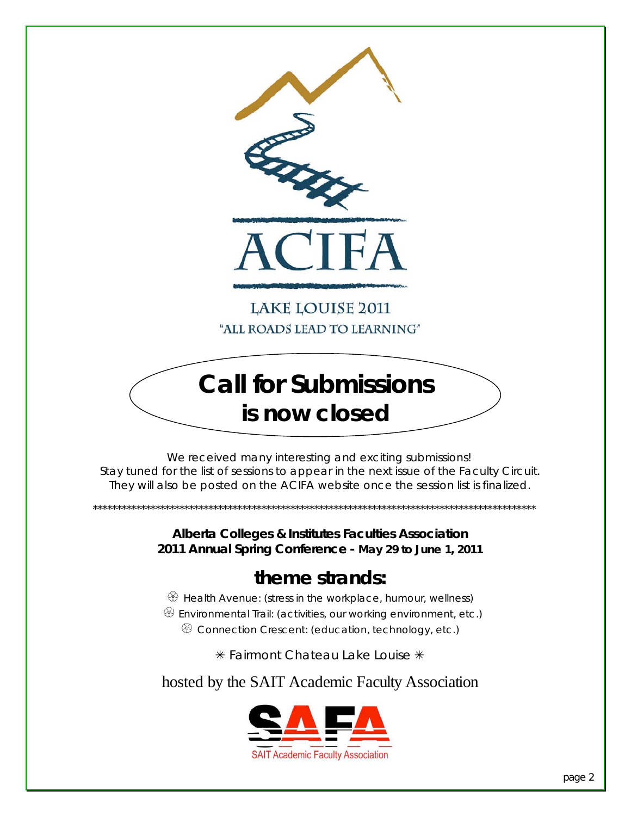

**LAKE LOUISE 2011** "ALL ROADS LEAD TO LEARNING"

# **Call for Submissions is now closed**

 We received many interesting and exciting submissions! Stay tuned for the list of sessions to appear in the next issue of the Faculty Circuit. They will also be posted on the ACIFA website once the session list is finalized.

> **Alberta Colleges & Institutes Faculties Association 2011 Annual Spring Conference - May 29 to June 1, 2011**

\*\*\*\*\*\*\*\*\*\*\*\*\*\*\*\*\*\*\*\*\*\*\*\*\*\*\*\*\*\*\*\*\*\*\*\*\*\*\*\*\*\*\*\*\*\*\*\*\*\*\*\*\*\*\*\*\*\*\*\*\*\*\*\*\*\*\*\*\*\*\*\*\*\*\*\*\*\*\*\*\*\*\*\*\*\*\*\*\*\*\*\*

## **theme strands:**

 $\circled{B}$  Health Avenue: (stress in the workplace, humour, wellness) <sup> $$$ </sup> Environmental Trail: (activities, our working environment, etc.)

 $\circledast$  Connection Crescent: (education, technology, etc.)

 $*$  Fairmont Chateau Lake Louise  $*$ 

hosted by the SAIT Academic Faculty Association

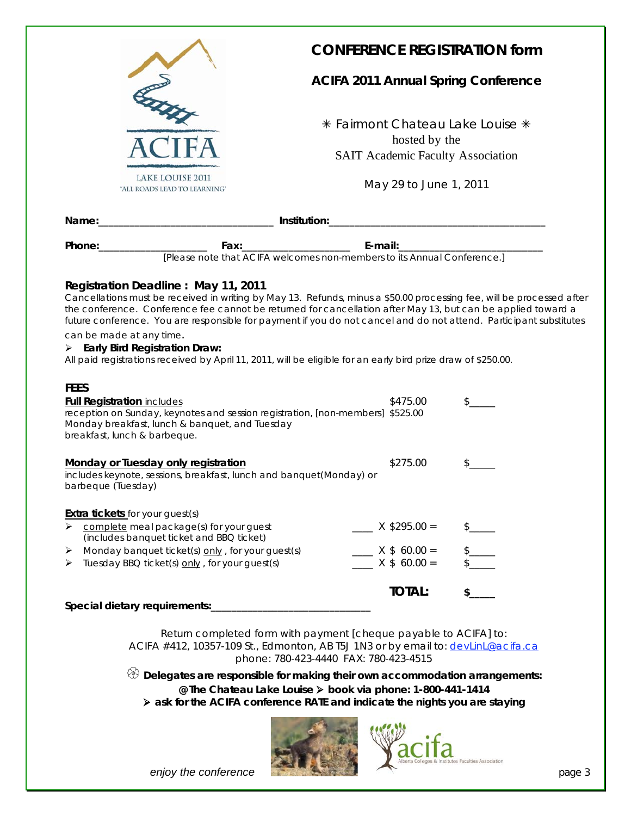| <b>LAKE LOUISE 2011</b><br>'ALL ROADS LEAD TO LEARNING'                                                                                                                                                                                                                                                                                                                                                                                                                                                                                                                                           | <b>CONFERENCE REGISTRATION form</b><br><b>ACIFA 2011 Annual Spring Conference</b><br>* Fairmont Chateau Lake Louise * | hosted by the<br><b>SAIT Academic Faculty Association</b><br>May 29 to June 1, 2011 |     |  |  |
|---------------------------------------------------------------------------------------------------------------------------------------------------------------------------------------------------------------------------------------------------------------------------------------------------------------------------------------------------------------------------------------------------------------------------------------------------------------------------------------------------------------------------------------------------------------------------------------------------|-----------------------------------------------------------------------------------------------------------------------|-------------------------------------------------------------------------------------|-----|--|--|
|                                                                                                                                                                                                                                                                                                                                                                                                                                                                                                                                                                                                   |                                                                                                                       |                                                                                     |     |  |  |
| Phone: 2000                                                                                                                                                                                                                                                                                                                                                                                                                                                                                                                                                                                       |                                                                                                                       |                                                                                     |     |  |  |
|                                                                                                                                                                                                                                                                                                                                                                                                                                                                                                                                                                                                   |                                                                                                                       |                                                                                     |     |  |  |
| Registration Deadline: May 11, 2011<br>Cancellations must be received in writing by May 13. Refunds, minus a \$50.00 processing fee, will be processed after<br>the conference. Conference fee cannot be returned for cancellation after May 13, but can be applied toward a<br>future conference. You are responsible for payment if you do not cancel and do not attend. Participant substitutes<br>can be made at any time.<br>$\triangleright$ Early Bird Registration Draw:<br>All paid registrations received by April 11, 2011, will be eligible for an early bird prize draw of \$250.00. |                                                                                                                       |                                                                                     |     |  |  |
| <b>FEES</b><br><b>Full Registration includes</b><br>reception on Sunday, keynotes and session registration, [non-members] \$525.00<br>Monday breakfast, lunch & banquet, and Tuesday<br>breakfast, lunch & barbeque.                                                                                                                                                                                                                                                                                                                                                                              |                                                                                                                       | \$475.00                                                                            | \$  |  |  |
| Monday or Tuesday only registration<br>includes keynote, sessions, breakfast, lunch and banquet(Monday) or<br>barbeque (Tuesday)                                                                                                                                                                                                                                                                                                                                                                                                                                                                  |                                                                                                                       | \$275.00                                                                            | \$_ |  |  |
| <b>Extra tickets</b> for your guest(s)<br>complete meal package(s) for your guest<br>➤<br>(includes banquet ticket and BBQ ticket)<br>Monday banquet ticket(s) only, for your guest(s)<br>➤<br>Tuesday BBQ ticket(s) only, for your guest(s)<br>➤                                                                                                                                                                                                                                                                                                                                                 |                                                                                                                       | $X$ \$295.00 =<br>$- X $ 60.00 =$<br>$X$ \$ 60.00 =                                 |     |  |  |
| Special dietary requirements:                                                                                                                                                                                                                                                                                                                                                                                                                                                                                                                                                                     |                                                                                                                       | <b>TOTAL:</b>                                                                       |     |  |  |

Return completed form with payment [cheque payable to ACIFA] to: ACIFA #412, 10357-109 St., Edmonton, AB T5J 1N3 or by email to: devlinL@acifa.ca phone: 780-423-4440 FAX: 780-423-4515

 **Delegates are responsible for making their own accommodation arrangements: @ The Chateau Lake Louise book via phone: 1-800-441-1414 ask for the ACIFA conference RATE and indicate the nights you are staying** 



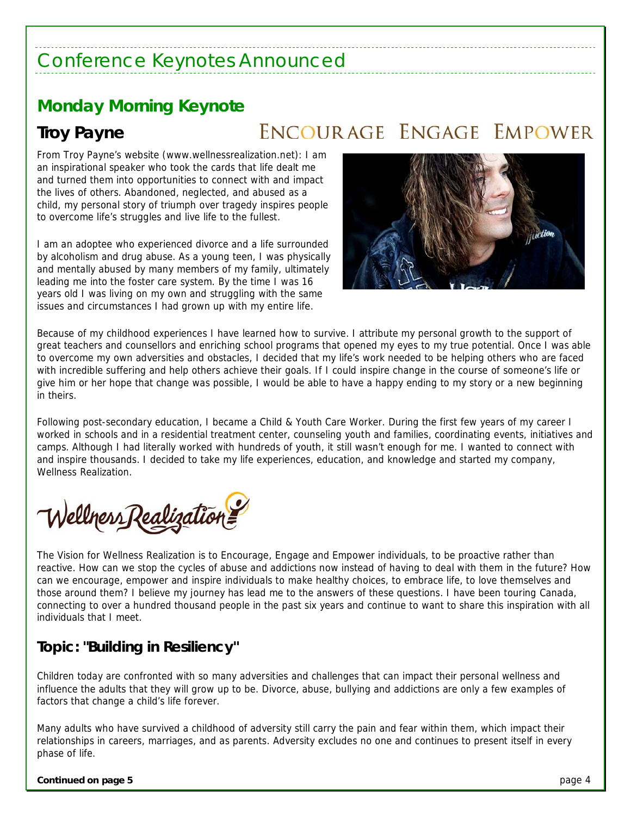## Conference Keynotes Announced

## **Monday Morning Keynote**

**Troy Payne** 

## ENCOURAGE ENGAGE EMPOWER

From Troy Payne's website (www.wellnessrealization.net): I am an inspirational speaker who took the cards that life dealt me and turned them into opportunities to connect with and impact the lives of others. Abandoned, neglected, and abused as a child, my personal story of triumph over tragedy inspires people to overcome life's struggles and live life to the fullest.

I am an adoptee who experienced divorce and a life surrounded by alcoholism and drug abuse. As a young teen, I was physically and mentally abused by many members of my family, ultimately leading me into the foster care system. By the time I was 16 years old I was living on my own and struggling with the same issues and circumstances I had grown up with my entire life.



Because of my childhood experiences I have learned how to survive. I attribute my personal growth to the support of great teachers and counsellors and enriching school programs that opened my eyes to my true potential. Once I was able to overcome my own adversities and obstacles, I decided that my life's work needed to be helping others who are faced with incredible suffering and help others achieve their goals. If I could inspire change in the course of someone's life or give him or her hope that change was possible, I would be able to have a happy ending to my story or a new beginning in theirs.

Following post-secondary education, I became a Child & Youth Care Worker. During the first few years of my career I worked in schools and in a residential treatment center, counseling youth and families, coordinating events, initiatives and camps. Although I had literally worked with hundreds of youth, it still wasn't enough for me. I wanted to connect with and inspire thousands. I decided to take my life experiences, education, and knowledge and started my company, Wellness Realization.

Wellness Realization

The Vision for Wellness Realization is to Encourage, Engage and Empower individuals, to be proactive rather than reactive. How can we stop the cycles of abuse and addictions now instead of having to deal with them in the future? How can we encourage, empower and inspire individuals to make healthy choices, to embrace life, to love themselves and those around them? I believe my journey has lead me to the answers of these questions. I have been touring Canada, connecting to over a hundred thousand people in the past six years and continue to want to share this inspiration with all individuals that I meet.

## **Topic: "Building in Resiliency"**

Children today are confronted with so many adversities and challenges that can impact their personal wellness and influence the adults that they will grow up to be. Divorce, abuse, bullying and addictions are only a few examples of factors that change a child's life forever.

Many adults who have survived a childhood of adversity still carry the pain and fear within them, which impact their relationships in careers, marriages, and as parents. Adversity excludes no one and continues to present itself in every phase of life.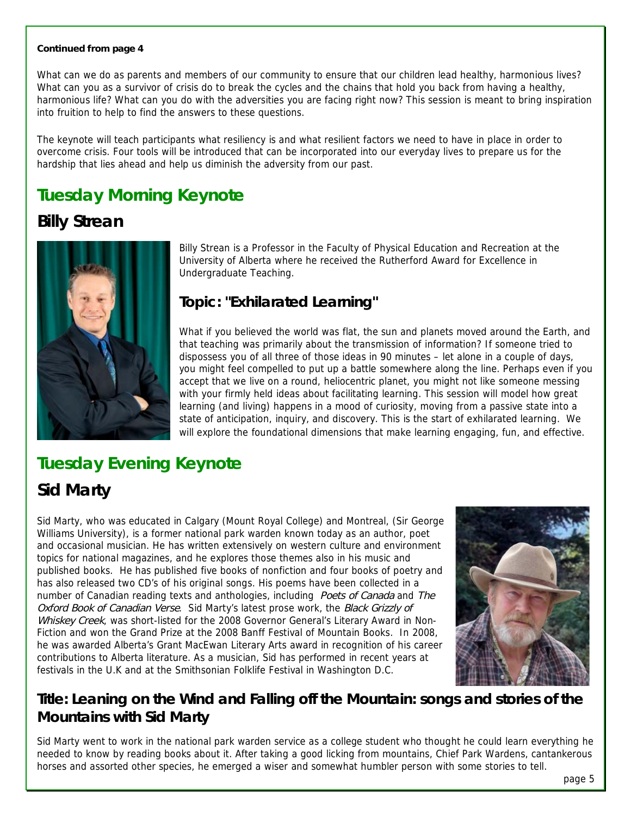#### **Continued from page 4**

What can we do as parents and members of our community to ensure that our children lead healthy, harmonious lives? What can you as a survivor of crisis do to break the cycles and the chains that hold you back from having a healthy, harmonious life? What can you do with the adversities you are facing right now? This session is meant to bring inspiration into fruition to help to find the answers to these questions.

The keynote will teach participants what resiliency is and what resilient factors we need to have in place in order to overcome crisis. Four tools will be introduced that can be incorporated into our everyday lives to prepare us for the hardship that lies ahead and help us diminish the adversity from our past.

## **Tuesday Morning Keynote**

## **Billy Strean**



Billy Strean is a Professor in the Faculty of Physical Education and Recreation at the University of Alberta where he received the Rutherford Award for Excellence in Undergraduate Teaching.

### **Topic: "Exhilarated Learning"**

What if you believed the world was flat, the sun and planets moved around the Earth, and that teaching was primarily about the transmission of information? If someone tried to dispossess you of all three of those ideas in 90 minutes – let alone in a couple of days, you might feel compelled to put up a battle somewhere along the line. Perhaps even if you accept that we live on a round, heliocentric planet, you might not like someone messing with your firmly held ideas about facilitating learning. This session will model how great learning (and living) happens in a mood of curiosity, moving from a passive state into a state of anticipation, inquiry, and discovery. This is the start of exhilarated learning. We will explore the foundational dimensions that make learning engaging, fun, and effective.

## **Tuesday Evening Keynote**

## **Sid Marty**

Sid Marty, who was educated in Calgary (Mount Royal College) and Montreal, (Sir George Williams University), is a former national park warden known today as an author, poet and occasional musician. He has written extensively on western culture and environment topics for national magazines, and he explores those themes also in his music and published books. He has published five books of nonfiction and four books of poetry and has also released two CD's of his original songs. His poems have been collected in a number of Canadian reading texts and anthologies, including Poets of Canada and The Oxford Book of Canadian Verse. Sid Marty's latest prose work, the Black Grizzly of Whiskey Creek, was short-listed for the 2008 Governor General's Literary Award in Non-Fiction and won the Grand Prize at the 2008 Banff Festival of Mountain Books. In 2008, he was awarded Alberta's Grant MacEwan Literary Arts award in recognition of his career contributions to Alberta literature. As a musician, Sid has performed in recent years at festivals in the U.K and at the Smithsonian Folklife Festival in Washington D.C.



## **Title: Leaning on the Wind and Falling off the Mountain: songs and stories of the Mountains with Sid Marty**

Sid Marty went to work in the national park warden service as a college student who thought he could learn everything he needed to know by reading books about it. After taking a good licking from mountains, Chief Park Wardens, cantankerous horses and assorted other species, he emerged a wiser and somewhat humbler person with some stories to tell.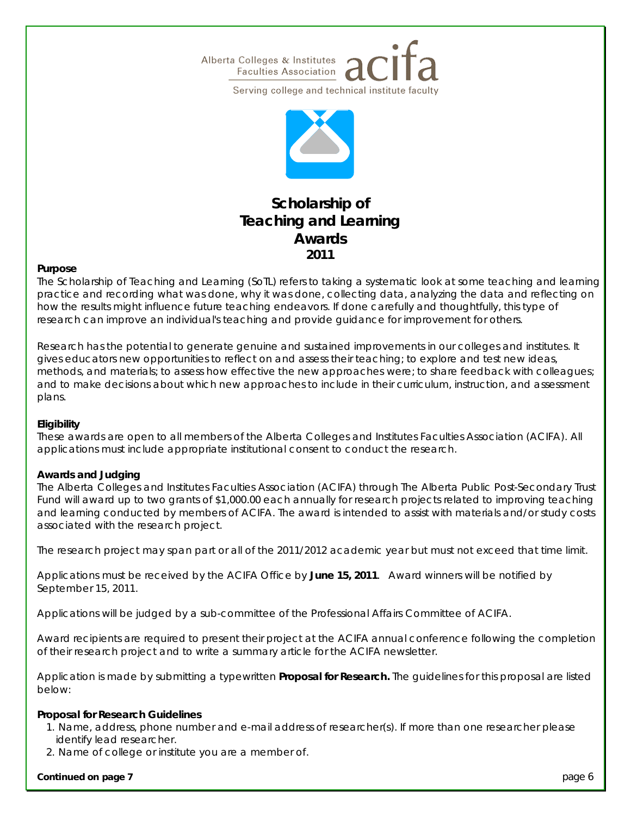



### **Scholarship of Teaching and Learning Awards 2011**

#### **Purpose**

The Scholarship of Teaching and Learning (SoTL) refers to taking a systematic look at some teaching and learning practice and recording what was done, why it was done, collecting data, analyzing the data and reflecting on how the results might influence future teaching endeavors. If done carefully and thoughtfully, this type of research can improve an individual's teaching and provide guidance for improvement for others.

Research has the potential to generate genuine and sustained improvements in our colleges and institutes. It gives educators new opportunities to reflect on and assess their teaching; to explore and test new ideas, methods, and materials; to assess how effective the new approaches were; to share feedback with colleagues; and to make decisions about which new approaches to include in their curriculum, instruction, and assessment plans.

#### **Eligibility**

These awards are open to all members of the Alberta Colleges and Institutes Faculties Association (ACIFA). All applications must include appropriate institutional consent to conduct the research.

#### **Awards and Judging**

The Alberta Colleges and Institutes Faculties Association (ACIFA) through The Alberta Public Post-Secondary Trust Fund will award up to two grants of \$1,000.00 each annually for research projects related to improving teaching and learning conducted by members of ACIFA. The award is intended to assist with materials and/or study costs associated with the research project.

The research project may span part or all of the 2011/2012 academic year but must not exceed that time limit.

Applications must be received by the ACIFA Office by **June 15, 2011**. Award winners will be notified by September 15, 2011.

Applications will be judged by a sub-committee of the Professional Affairs Committee of ACIFA.

Award recipients are required to present their project at the ACIFA annual conference following the completion of their research project and to write a summary article for the ACIFA newsletter.

Application is made by submitting a typewritten **Proposal for Research.** The guidelines for this proposal are listed below:

#### **Proposal for Research Guidelines**

- 1. Name, address, phone number and e-mail address of researcher(s). If more than one researcher please identify lead researcher.
- 2. Name of college or institute you are a member of.

#### **Continued on page 7 page 1 <b>page 6 page 6 page 6 page 6 page 6 page 6 page 6 page 6 page 6 page 6 page 6 page 6 page 6 page 6 page 6 page 6 page 6 page 6 page 6 page 7 page 7 pa**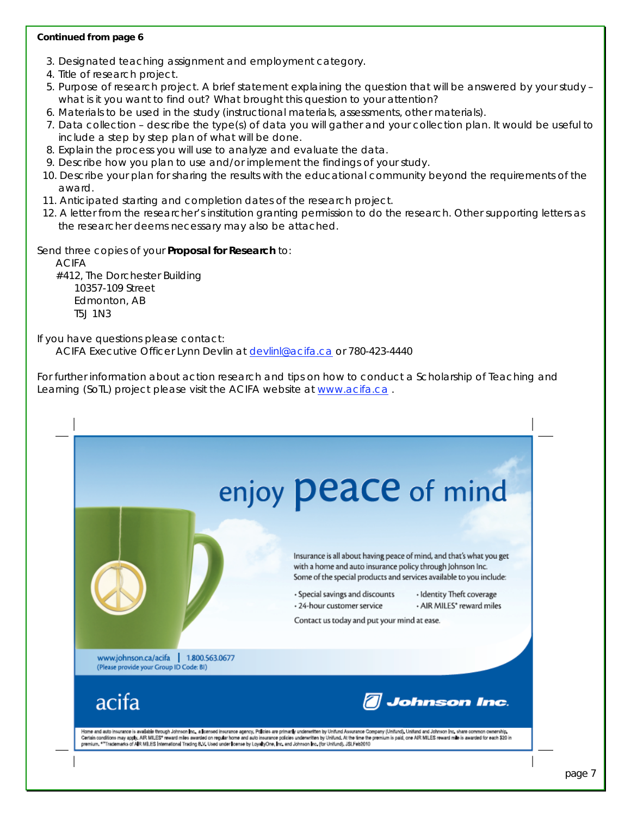#### **Continued from page 6**

- 3. Designated teaching assignment and employment category.
- 4. Title of research project.
- 5. Purpose of research project. A brief statement explaining the question that will be answered by your study what is it you want to find out? What brought this question to your attention?
- 6. Materials to be used in the study (instructional materials, assessments, other materials).
- 7. Data collection describe the type(s) of data you will gather and your collection plan. It would be useful to include a step by step plan of what will be done.
- 8. Explain the process you will use to analyze and evaluate the data.
- 9. Describe how you plan to use and/or implement the findings of your study.
- 10. Describe your plan for sharing the results with the educational community beyond the requirements of the award.
- 11. Anticipated starting and completion dates of the research project.
- 12. A letter from the researcher's institution granting permission to do the research. Other supporting letters as the researcher deems necessary may also be attached.

Send three copies of your **Proposal for Research** to:

 ACIFA #412, The Dorchester Building 10357-109 Street Edmonton, AB T5J 1N3

#### If you have questions please contact:

ACIFA Executive Officer Lynn Devlin at devlinl@acifa.ca or 780-423-4440

For further information about action research and tips on how to conduct a Scholarship of Teaching and Learning (SoTL) project please visit the ACIFA website at www.acifa.ca.